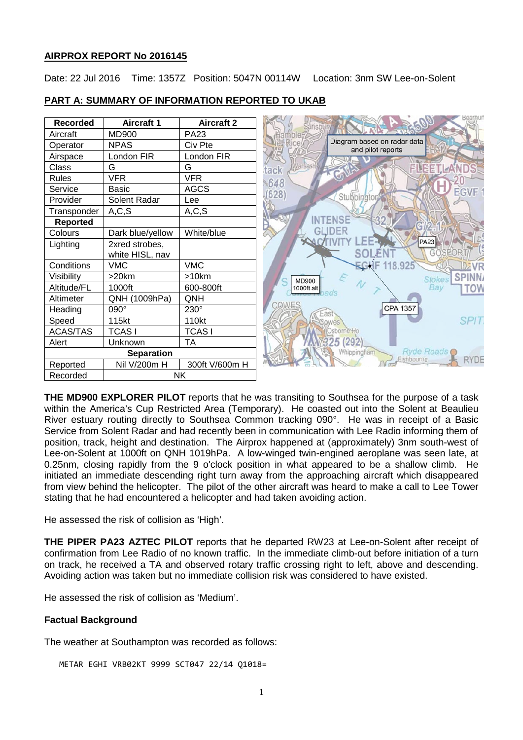#### **AIRPROX REPORT No 2016145**

Date: 22 Jul 2016 Time: 1357Z Position: 5047N 00114W Location: 3nm SW Lee-on-Solent

| <b>Recorded</b>       | <b>Aircraft 1</b> | <b>Aircraft 2</b> | ansbu                                            |
|-----------------------|-------------------|-------------------|--------------------------------------------------|
| Aircraft              | <b>MD900</b>      | <b>PA23</b>       |                                                  |
| Operator              | <b>NPAS</b>       | Civ Pte           | Diagram based on radar data<br>and pilot reports |
| Airspace              | London FIR        | London FIR        |                                                  |
| Class                 | G                 | G                 | FLEETLA<br>tack                                  |
| Rules                 | <b>VFR</b>        | <b>VFR</b>        | GT)<br>648                                       |
| Service               | Basic             | <b>AGCS</b>       | <b>EGVF</b>                                      |
| Provider              | Solent Radar      | Lee               | 628)<br>Stubbington                              |
| Transponder           | A, C, S           | A, C, S           |                                                  |
| <b>Reported</b>       |                   |                   | <b>NTENSE</b>                                    |
| Colours               | Dark blue/yellow  | White/blue        | <b>GLIDER</b>                                    |
| Lighting              | 2xred strobes,    |                   | <b>PA23</b>                                      |
|                       | white HISL, nav   |                   |                                                  |
| Conditions            | <b>VMC</b>        | <b>VMC</b>        | EGHF<br>118.925                                  |
| Visibility            | $>20$ km          | >10km             | <b>Stokes</b><br><b>MD900</b>                    |
| Altitude/FL           | 1000ft            | 600-800ft         | Bay<br>1000ft alt<br>TOW                         |
| Altimeter             | QNH (1009hPa)     | QNH               |                                                  |
| Heading               | 090°              | $230^\circ$       | COWE.<br>CPA 1357                                |
| Speed                 | 115kt             | 110kt             | <b>SPIT</b><br>QWes                              |
| <b>ACAS/TAS</b>       | <b>TCAS1</b>      | <b>TCASI</b>      | Osborne Ho                                       |
| Alert                 | Unknown           | <b>TA</b>         | 292                                              |
| <b>Separation</b>     |                   |                   | Ryde Roads C<br>Whippingham                      |
| Reported              | Nil V/200m H      | 300ft V/600m H    | RYDE<br>Fishbourne                               |
| Recorded<br><b>NK</b> |                   |                   |                                                  |

## **PART A: SUMMARY OF INFORMATION REPORTED TO UKAB**

**THE MD900 EXPLORER PILOT** reports that he was transiting to Southsea for the purpose of a task within the America's Cup Restricted Area (Temporary). He coasted out into the Solent at Beaulieu River estuary routing directly to Southsea Common tracking 090°. He was in receipt of a Basic Service from Solent Radar and had recently been in communication with Lee Radio informing them of position, track, height and destination. The Airprox happened at (approximately) 3nm south-west of Lee-on-Solent at 1000ft on QNH 1019hPa. A low-winged twin-engined aeroplane was seen late, at 0.25nm, closing rapidly from the 9 o'clock position in what appeared to be a shallow climb. He initiated an immediate descending right turn away from the approaching aircraft which disappeared from view behind the helicopter. The pilot of the other aircraft was heard to make a call to Lee Tower stating that he had encountered a helicopter and had taken avoiding action.

He assessed the risk of collision as 'High'.

**THE PIPER PA23 AZTEC PILOT** reports that he departed RW23 at Lee-on-Solent after receipt of confirmation from Lee Radio of no known traffic. In the immediate climb-out before initiation of a turn on track, he received a TA and observed rotary traffic crossing right to left, above and descending. Avoiding action was taken but no immediate collision risk was considered to have existed.

He assessed the risk of collision as 'Medium'.

#### **Factual Background**

The weather at Southampton was recorded as follows:

METAR EGHI VRB02KT 9999 SCT047 22/14 Q1018=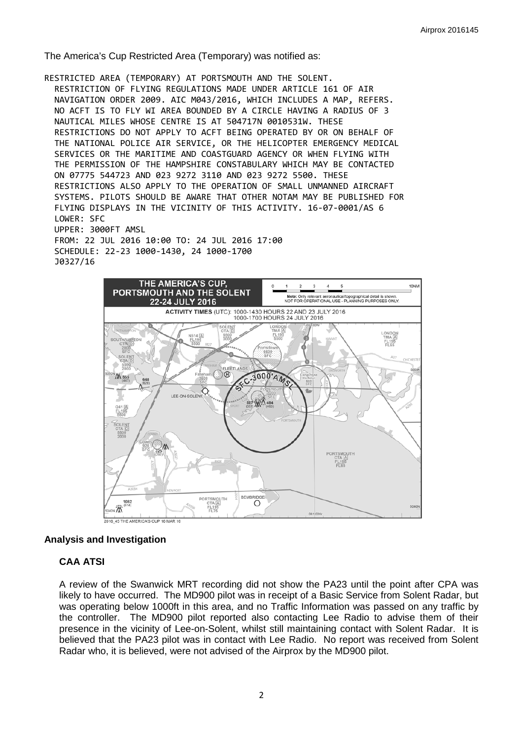The America's Cup Restricted Area (Temporary) was notified as:

RESTRICTED AREA (TEMPORARY) AT PORTSMOUTH AND THE SOLENT. RESTRICTION OF FLYING REGULATIONS MADE UNDER ARTICLE 161 OF AIR NAVIGATION ORDER 2009. AIC M043/2016, WHICH INCLUDES A MAP, REFERS. NO ACFT IS TO FLY WI AREA BOUNDED BY A CIRCLE HAVING A RADIUS OF 3 NAUTICAL MILES WHOSE CENTRE IS AT 504717N 0010531W. THESE RESTRICTIONS DO NOT APPLY TO ACFT BEING OPERATED BY OR ON BEHALF OF THE NATIONAL POLICE AIR SERVICE, OR THE HELICOPTER EMERGENCY MEDICAL SERVICES OR THE MARITIME AND COASTGUARD AGENCY OR WHEN FLYING WITH THE PERMISSION OF THE HAMPSHIRE CONSTABULARY WHICH MAY BE CONTACTED ON 07775 544723 AND 023 9272 3110 AND 023 9272 5500. THESE RESTRICTIONS ALSO APPLY TO THE OPERATION OF SMALL UNMANNED AIRCRAFT SYSTEMS. PILOTS SHOULD BE AWARE THAT OTHER NOTAM MAY BE PUBLISHED FOR FLYING DISPLAYS IN THE VICINITY OF THIS ACTIVITY. 16-07-0001/AS 6 LOWER: SFC UPPER: 3000FT AMSL FROM: 22 JUL 2016 10:00 TO: 24 JUL 2016 17:00 SCHEDULE: 22-23 1000-1430, 24 1000-1700 J0327/16



# **Analysis and Investigation**

# **CAA ATSI**

A review of the Swanwick MRT recording did not show the PA23 until the point after CPA was likely to have occurred. The MD900 pilot was in receipt of a Basic Service from Solent Radar, but was operating below 1000ft in this area, and no Traffic Information was passed on any traffic by the controller. The MD900 pilot reported also contacting Lee Radio to advise them of their presence in the vicinity of Lee-on-Solent, whilst still maintaining contact with Solent Radar. It is believed that the PA23 pilot was in contact with Lee Radio. No report was received from Solent Radar who, it is believed, were not advised of the Airprox by the MD900 pilot.